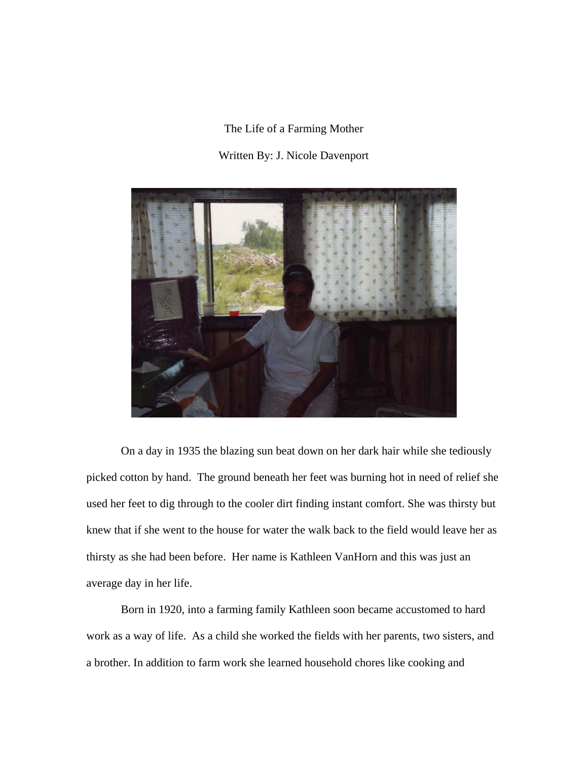The Life of a Farming Mother

## Written By: J. Nicole Davenport



On a day in 1935 the blazing sun beat down on her dark hair while she tediously picked cotton by hand. The ground beneath her feet was burning hot in need of relief she used her feet to dig through to the cooler dirt finding instant comfort. She was thirsty but knew that if she went to the house for water the walk back to the field would leave her as thirsty as she had been before. Her name is Kathleen VanHorn and this was just an average day in her life.

Born in 1920, into a farming family Kathleen soon became accustomed to hard work as a way of life. As a child she worked the fields with her parents, two sisters, and a brother. In addition to farm work she learned household chores like cooking and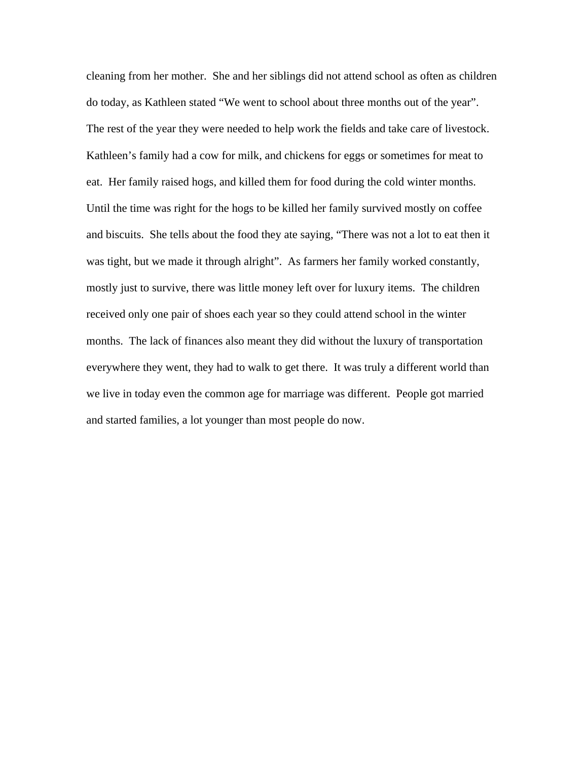cleaning from her mother. She and her siblings did not attend school as often as children do today, as Kathleen stated "We went to school about three months out of the year". The rest of the year they were needed to help work the fields and take care of livestock. Kathleen's family had a cow for milk, and chickens for eggs or sometimes for meat to eat. Her family raised hogs, and killed them for food during the cold winter months. Until the time was right for the hogs to be killed her family survived mostly on coffee and biscuits. She tells about the food they ate saying, "There was not a lot to eat then it was tight, but we made it through alright". As farmers her family worked constantly, mostly just to survive, there was little money left over for luxury items. The children received only one pair of shoes each year so they could attend school in the winter months. The lack of finances also meant they did without the luxury of transportation everywhere they went, they had to walk to get there. It was truly a different world than we live in today even the common age for marriage was different. People got married and started families, a lot younger than most people do now.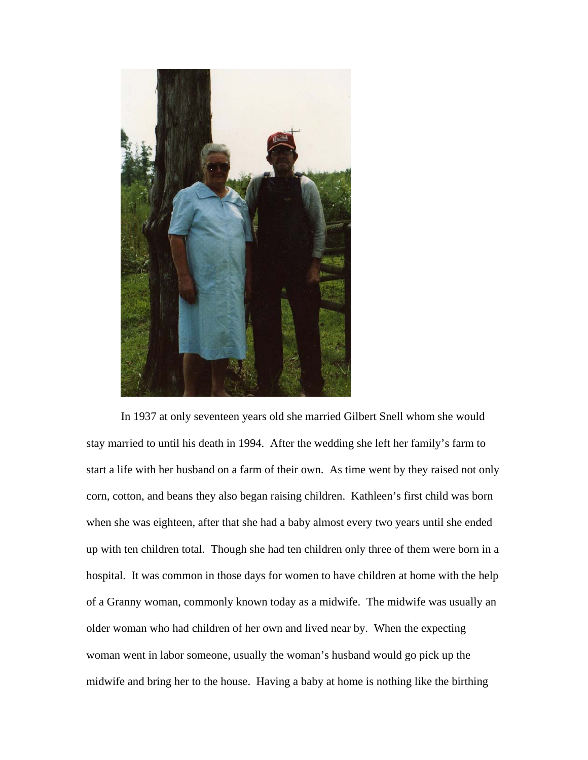

In 1937 at only seventeen years old she married Gilbert Snell whom she would stay married to until his death in 1994. After the wedding she left her family's farm to start a life with her husband on a farm of their own. As time went by they raised not only corn, cotton, and beans they also began raising children. Kathleen's first child was born when she was eighteen, after that she had a baby almost every two years until she ended up with ten children total. Though she had ten children only three of them were born in a hospital. It was common in those days for women to have children at home with the help of a Granny woman, commonly known today as a midwife. The midwife was usually an older woman who had children of her own and lived near by. When the expecting woman went in labor someone, usually the woman's husband would go pick up the midwife and bring her to the house. Having a baby at home is nothing like the birthing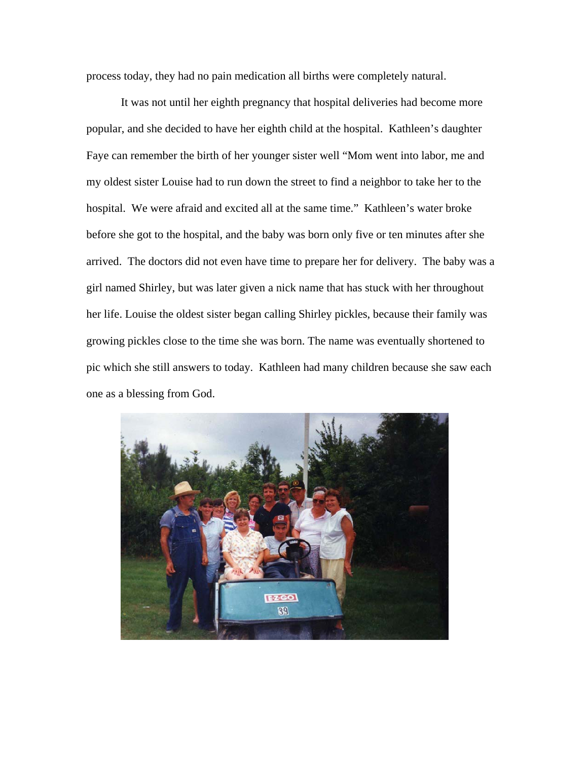process today, they had no pain medication all births were completely natural.

It was not until her eighth pregnancy that hospital deliveries had become more popular, and she decided to have her eighth child at the hospital. Kathleen's daughter Faye can remember the birth of her younger sister well "Mom went into labor, me and my oldest sister Louise had to run down the street to find a neighbor to take her to the hospital. We were afraid and excited all at the same time." Kathleen's water broke before she got to the hospital, and the baby was born only five or ten minutes after she arrived. The doctors did not even have time to prepare her for delivery. The baby was a girl named Shirley, but was later given a nick name that has stuck with her throughout her life. Louise the oldest sister began calling Shirley pickles, because their family was growing pickles close to the time she was born. The name was eventually shortened to pic which she still answers to today. Kathleen had many children because she saw each one as a blessing from God.

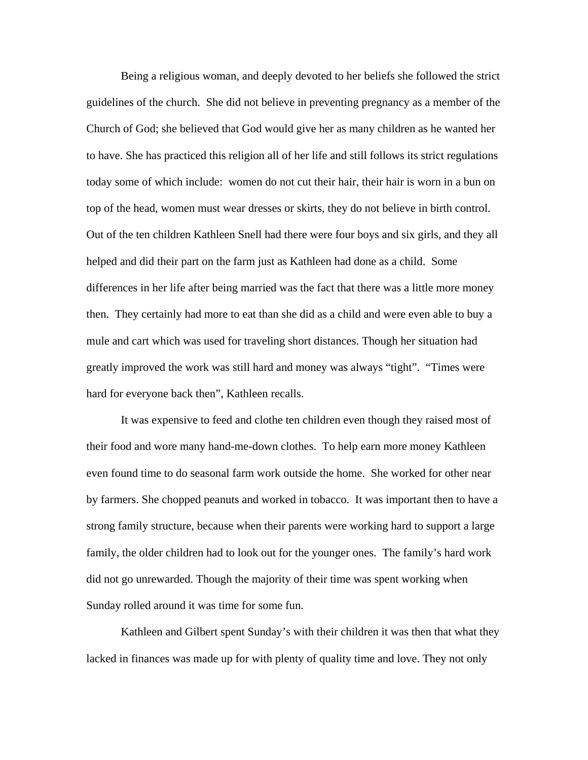Being a religious woman, and deeply devoted to her beliefs she followed the strict guidelines of the church. She did not believe in preventing pregnancy as a member of the Church of God; she believed that God would give her as many children as he wanted her to have. She has practiced this religion all of her life and still follows its strict regulations today some of which include: women do not cut their hair, their hair is worn in a bun on top of the head, women must wear dresses or skirts, they do not believe in birth control. Out of the ten children Kathleen Snell had there were four boys and six girls, and they all helped and did their part on the farm just as Kathleen had done as a child. Some differences in her life after being married was the fact that there was a little more money then. They certainly had more to eat than she did as a child and were even able to buy a mule and cart which was used for traveling short distances. Though her situation had greatly improved the work was still hard and money was always "tight". "Times were hard for everyone back then", Kathleen recalls.

It was expensive to feed and clothe ten children even though they raised most of their food and wore many hand-me-down clothes. To help earn more money Kathleen even found time to do seasonal farm work outside the home. She worked for other near by farmers. She chopped peanuts and worked in tobacco. It was important then to have a strong family structure, because when their parents were working hard to support a large family, the older children had to look out for the younger ones. The family's hard work did not go unrewarded. Though the majority of their time was spent working when Sunday rolled around it was time for some fun.

Kathleen and Gilbert spent Sunday's with their children it was then that what they lacked in finances was made up for with plenty of quality time and love. They not only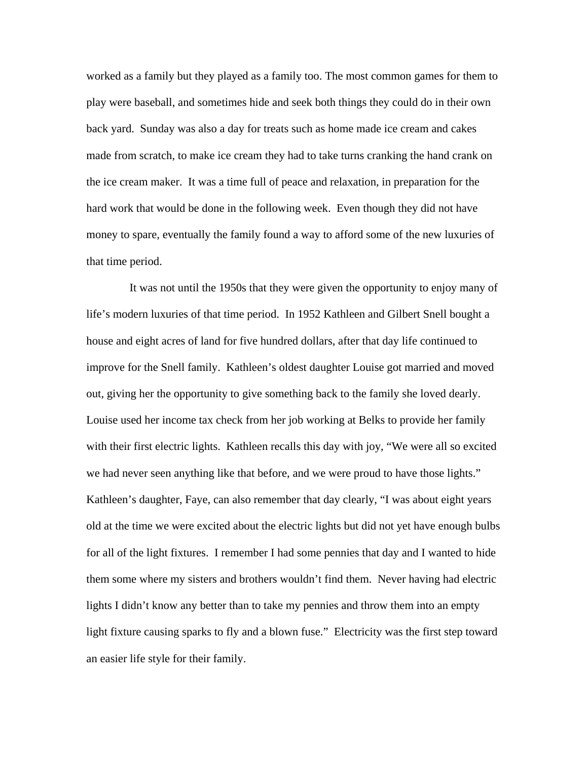worked as a family but they played as a family too. The most common games for them to play were baseball, and sometimes hide and seek both things they could do in their own back yard. Sunday was also a day for treats such as home made ice cream and cakes made from scratch, to make ice cream they had to take turns cranking the hand crank on the ice cream maker. It was a time full of peace and relaxation, in preparation for the hard work that would be done in the following week. Even though they did not have money to spare, eventually the family found a way to afford some of the new luxuries of that time period.

 It was not until the 1950s that they were given the opportunity to enjoy many of life's modern luxuries of that time period. In 1952 Kathleen and Gilbert Snell bought a house and eight acres of land for five hundred dollars, after that day life continued to improve for the Snell family. Kathleen's oldest daughter Louise got married and moved out, giving her the opportunity to give something back to the family she loved dearly. Louise used her income tax check from her job working at Belks to provide her family with their first electric lights. Kathleen recalls this day with joy, "We were all so excited we had never seen anything like that before, and we were proud to have those lights." Kathleen's daughter, Faye, can also remember that day clearly, "I was about eight years old at the time we were excited about the electric lights but did not yet have enough bulbs for all of the light fixtures. I remember I had some pennies that day and I wanted to hide them some where my sisters and brothers wouldn't find them. Never having had electric lights I didn't know any better than to take my pennies and throw them into an empty light fixture causing sparks to fly and a blown fuse." Electricity was the first step toward an easier life style for their family.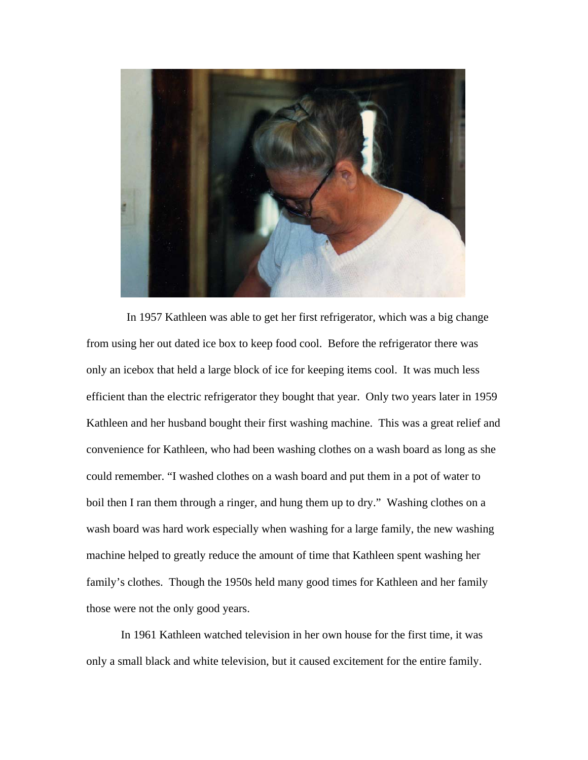

 In 1957 Kathleen was able to get her first refrigerator, which was a big change from using her out dated ice box to keep food cool. Before the refrigerator there was only an icebox that held a large block of ice for keeping items cool. It was much less efficient than the electric refrigerator they bought that year. Only two years later in 1959 Kathleen and her husband bought their first washing machine. This was a great relief and convenience for Kathleen, who had been washing clothes on a wash board as long as she could remember. "I washed clothes on a wash board and put them in a pot of water to boil then I ran them through a ringer, and hung them up to dry." Washing clothes on a wash board was hard work especially when washing for a large family, the new washing machine helped to greatly reduce the amount of time that Kathleen spent washing her family's clothes. Though the 1950s held many good times for Kathleen and her family those were not the only good years.

In 1961 Kathleen watched television in her own house for the first time, it was only a small black and white television, but it caused excitement for the entire family.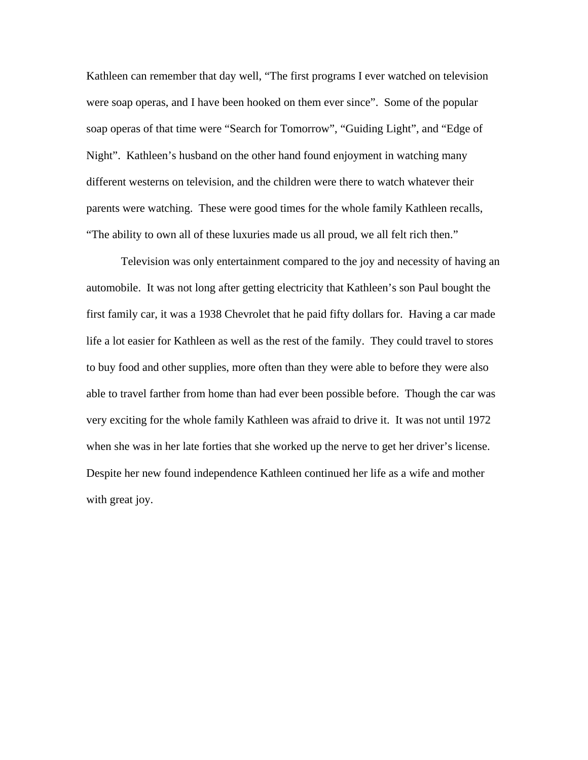Kathleen can remember that day well, "The first programs I ever watched on television were soap operas, and I have been hooked on them ever since". Some of the popular soap operas of that time were "Search for Tomorrow", "Guiding Light", and "Edge of Night". Kathleen's husband on the other hand found enjoyment in watching many different westerns on television, and the children were there to watch whatever their parents were watching. These were good times for the whole family Kathleen recalls, "The ability to own all of these luxuries made us all proud, we all felt rich then."

Television was only entertainment compared to the joy and necessity of having an automobile. It was not long after getting electricity that Kathleen's son Paul bought the first family car, it was a 1938 Chevrolet that he paid fifty dollars for. Having a car made life a lot easier for Kathleen as well as the rest of the family. They could travel to stores to buy food and other supplies, more often than they were able to before they were also able to travel farther from home than had ever been possible before. Though the car was very exciting for the whole family Kathleen was afraid to drive it. It was not until 1972 when she was in her late forties that she worked up the nerve to get her driver's license. Despite her new found independence Kathleen continued her life as a wife and mother with great joy.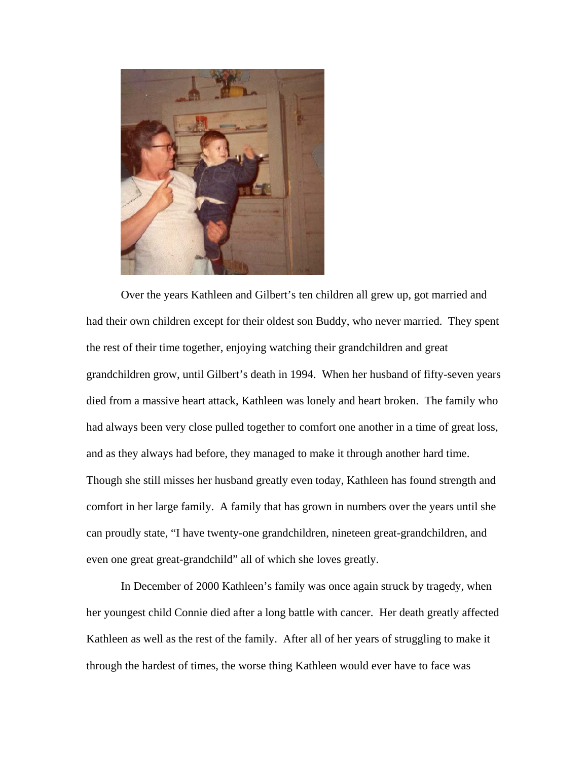

 Over the years Kathleen and Gilbert's ten children all grew up, got married and had their own children except for their oldest son Buddy, who never married. They spent the rest of their time together, enjoying watching their grandchildren and great grandchildren grow, until Gilbert's death in 1994. When her husband of fifty-seven years died from a massive heart attack, Kathleen was lonely and heart broken. The family who had always been very close pulled together to comfort one another in a time of great loss, and as they always had before, they managed to make it through another hard time. Though she still misses her husband greatly even today, Kathleen has found strength and comfort in her large family. A family that has grown in numbers over the years until she can proudly state, "I have twenty-one grandchildren, nineteen great-grandchildren, and even one great great-grandchild" all of which she loves greatly.

In December of 2000 Kathleen's family was once again struck by tragedy, when her youngest child Connie died after a long battle with cancer. Her death greatly affected Kathleen as well as the rest of the family. After all of her years of struggling to make it through the hardest of times, the worse thing Kathleen would ever have to face was